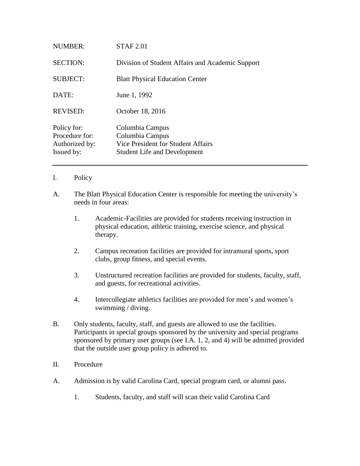| NUMBER:                                                       | <b>STAF 2.01</b>                                                                                                |
|---------------------------------------------------------------|-----------------------------------------------------------------------------------------------------------------|
| <b>SECTION:</b>                                               | Division of Student Affairs and Academic Support                                                                |
| <b>SUBJECT:</b>                                               | <b>Blatt Physical Education Center</b>                                                                          |
| DATE:                                                         | June 1, 1992                                                                                                    |
| <b>REVISED:</b>                                               | October 18, 2016                                                                                                |
| Policy for:<br>Procedure for:<br>Authorized by:<br>Issued by: | Columbia Campus<br>Columbia Campus<br>Vice President for Student Affairs<br><b>Student Life and Development</b> |

- I. Policy
- A. The Blatt Physical Education Center is responsible for meeting the university's needs in four areas:
	- 1. Academic-Facilities are provided for students receiving instruction in physical education, athletic training, exercise science, and physical therapy.
	- 2. Campus recreation facilities are provided for intramural sports, sport clubs, group fitness, and special events.
	- 3. Unstructured recreation facilities are provided for students, faculty, staff, and guests, for recreational activities.
	- 4. Intercollegiate athletics facilities are provided for men's and women's swimming / diving.
- B. Only students, faculty, staff, and guests are allowed to use the facilities. Participants in special groups sponsored by the university and special programs sponsored by primary user groups (see I.A. 1, 2, and 4) will be admitted provided that the outside user group policy is adhered to.
- II. Procedure
- A. Admission is by valid Carolina Card, special program card, or alumni pass.
	- 1. Students, faculty, and staff will scan their valid Carolina Card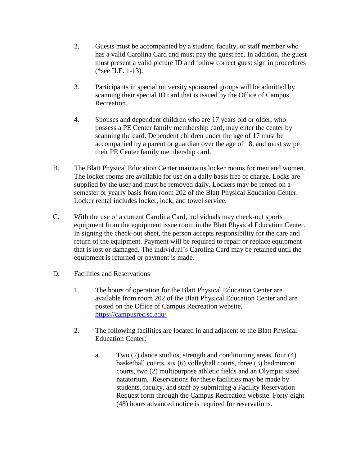- 2. Guests must be accompanied by a student, faculty, or staff member who has a valid Carolina Card and must pay the guest fee. In addition, the guest must present a valid picture ID and follow correct guest sign in procedures (\*see II.E. 1-13).
- 3. Participants in special university sponsored groups will be admitted by scanning their special ID card that is issued by the Office of Campus Recreation.
- 4. Spouses and dependent children who are 17 years old or older, who possess a PE Center family membership card, may enter the center by scanning the card. Dependent children under the age of 17 must be accompanied by a parent or guardian over the age of 18, and must swipe their PE Center family membership card.
- B. The Blatt Physical Education Center maintains locker rooms for men and women. The locker rooms are available for use on a daily basis free of charge. Locks are supplied by the user and must be removed daily. Lockers may be rented on a semester or yearly basis from room 202 of the Blatt Physical Education Center. Locker rental includes locker, lock, and towel service.
- C. With the use of a current Carolina Card, individuals may check-out sports equipment from the equipment issue room in the Blatt Physical Education Center. In signing the check-out sheet, the person accepts responsibility for the care and return of the equipment. Payment will be required to repair or replace equipment that is lost or damaged. The individual's Carolina Card may be retained until the equipment is returned or payment is made.
- D. Facilities and Reservations
	- 1. The hours of operation for the Blatt Physical Education Center are available from room 202 of the Blatt Physical Education Center and are posted on the Office of Campus Recreation website. <https://campusrec.sc.edu/>
	- 2. The following facilities are located in and adjacent to the Blatt Physical Education Center:
		- a. Two (2) dance studios, strength and conditioning areas, four (4) basketball courts, six (6) volleyball courts, three (3) badminton courts, two (2) multipurpose athletic fields and an Olympic sized natatorium. Reservations for these facilities may be made by students, faculty, and staff by submitting a Facility Reservation Request form through the Campus Recreation website. Forty-eight (48) hours advanced notice is required for reservations.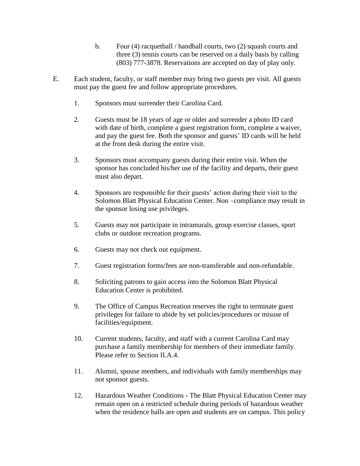- b. Four (4) racquetball / handball courts, two (2) squash courts and three (3) tennis courts can be reserved on a daily basis by calling (803) 777-3878. Reservations are accepted on day of play only.
- E. Each student, faculty, or staff member may bring two guests per visit. All guests must pay the guest fee and follow appropriate procedures.
	- 1. Sponsors must surrender their Carolina Card.
	- 2. Guests must be 18 years of age or older and surrender a photo ID card with date of birth, complete a guest registration form, complete a waiver, and pay the guest fee. Both the sponsor and guests' ID cards will be held at the front desk during the entire visit.
	- 3. Sponsors must accompany guests during their entire visit. When the sponsor has concluded his/her use of the facility and departs, their guest must also depart.
	- 4. Sponsors are responsible for their guests' action during their visit to the Solomon Blatt Physical Education Center. Non –compliance may result in the sponsor losing use privileges.
	- 5. Guests may not participate in intramurals, group exercise classes, sport clubs or outdoor recreation programs.
	- 6. Guests may not check out equipment.
	- 7. Guest registration forms/fees are non-transferable and non-refundable.
	- 8. Soliciting patrons to gain access into the Solomon Blatt Physical Education Center is prohibited.
	- 9. The Office of Campus Recreation reserves the right to terminate guest privileges for failure to abide by set policies/procedures or misuse of facilities/equipment.
	- 10. Current students, faculty, and staff with a current Carolina Card may purchase a family membership for members of their immediate family. Please refer to Section II.A.4.
	- 11. Alumni, spouse members, and individuals with family memberships may not sponsor guests.
	- 12. Hazardous Weather Conditions The Blatt Physical Education Center may remain open on a restricted schedule during periods of hazardous weather when the residence halls are open and students are on campus. This policy